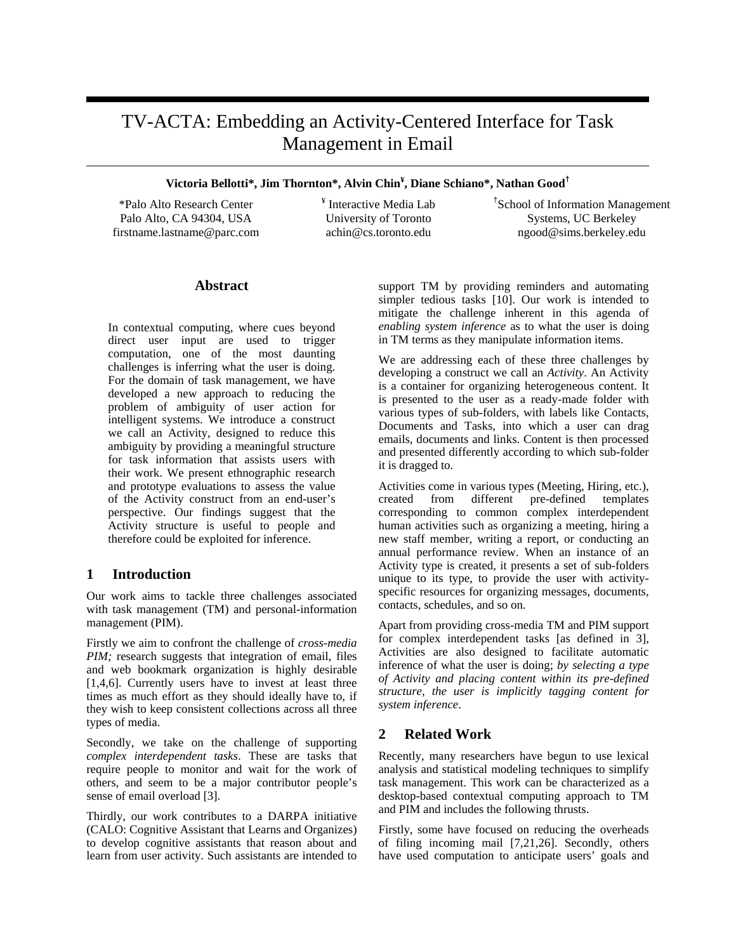# TV-ACTA: Embedding an Activity-Centered Interface for Task Management in Email

# **Victoria Bellotti\*, Jim Thornton\*, Alvin Chin¥ , Diane Schiano\*, Nathan Good†**

\*Palo Alto Research Center Palo Alto, CA 94304, USA firstname.lastname@parc.com ¥ Interactive Media Lab University of Toronto achin@cs.toronto.edu

† School of Information Management Systems, UC Berkeley ngood@sims.berkeley.edu

# **Abstract**

In contextual computing, where cues beyond direct user input are used to trigger computation, one of the most daunting challenges is inferring what the user is doing. For the domain of task management, we have developed a new approach to reducing the problem of ambiguity of user action for intelligent systems. We introduce a construct we call an Activity, designed to reduce this ambiguity by providing a meaningful structure for task information that assists users with their work. We present ethnographic research and prototype evaluations to assess the value of the Activity construct from an end-user's perspective. Our findings suggest that the Activity structure is useful to people and therefore could be exploited for inference.

# **1 Introduction**

Our work aims to tackle three challenges associated with task management (TM) and personal-information management (PIM).

Firstly we aim to confront the challenge of *cross-media PIM*; research suggests that integration of email, files and web bookmark organization is highly desirable [1,4,6]. Currently users have to invest at least three times as much effort as they should ideally have to, if they wish to keep consistent collections across all three types of media.

Secondly, we take on the challenge of supporting *complex interdependent tasks*. These are tasks that require people to monitor and wait for the work of others, and seem to be a major contributor people's sense of email overload [3].

Thirdly, our work contributes to a DARPA initiative (CALO: Cognitive Assistant that Learns and Organizes) to develop cognitive assistants that reason about and learn from user activity. Such assistants are intended to

support TM by providing reminders and automating simpler tedious tasks [10]. Our work is intended to mitigate the challenge inherent in this agenda of *enabling system inference* as to what the user is doing in TM terms as they manipulate information items.

We are addressing each of these three challenges by developing a construct we call an *Activity*. An Activity is a container for organizing heterogeneous content. It is presented to the user as a ready-made folder with various types of sub-folders, with labels like Contacts, Documents and Tasks, into which a user can drag emails, documents and links. Content is then processed and presented differently according to which sub-folder it is dragged to.

Activities come in various types (Meeting, Hiring, etc.), created from different pre-defined templates corresponding to common complex interdependent human activities such as organizing a meeting, hiring a new staff member, writing a report, or conducting an annual performance review. When an instance of an Activity type is created, it presents a set of sub-folders unique to its type, to provide the user with activityspecific resources for organizing messages, documents, contacts, schedules, and so on.

Apart from providing cross-media TM and PIM support for complex interdependent tasks [as defined in 3], Activities are also designed to facilitate automatic inference of what the user is doing; *by selecting a type of Activity and placing content within its pre-defined structure, the user is implicitly tagging content for system inference*.

# **2 Related Work**

Recently, many researchers have begun to use lexical analysis and statistical modeling techniques to simplify task management. This work can be characterized as a desktop-based contextual computing approach to TM and PIM and includes the following thrusts.

Firstly, some have focused on reducing the overheads of filing incoming mail [7,21,26]. Secondly, others have used computation to anticipate users' goals and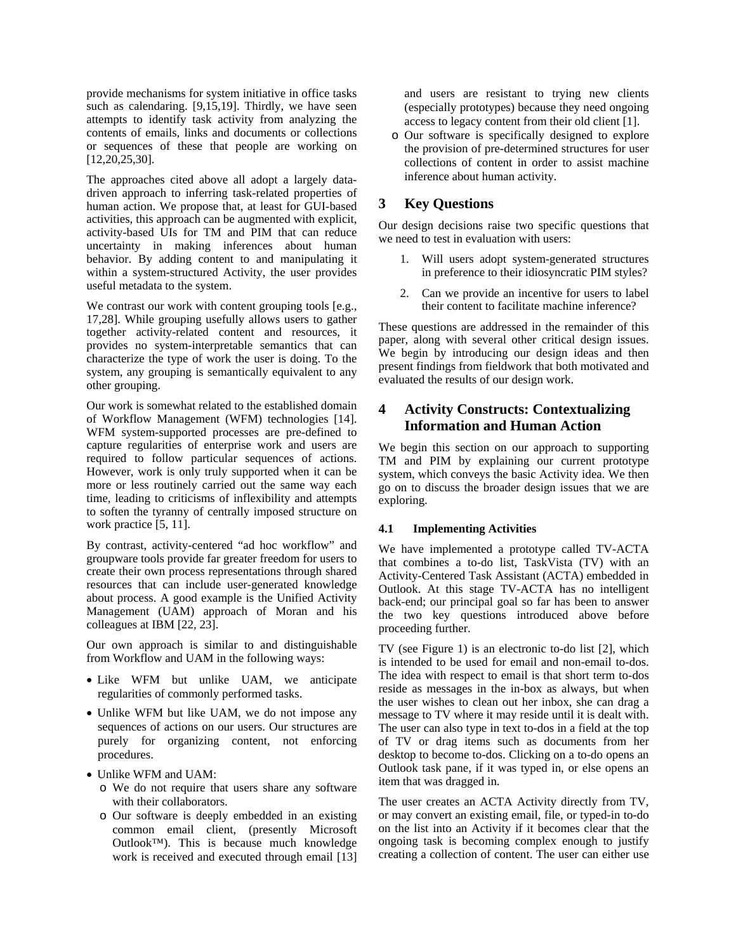provide mechanisms for system initiative in office tasks such as calendaring. [9,15,19]. Thirdly, we have seen attempts to identify task activity from analyzing the contents of emails, links and documents or collections or sequences of these that people are working on [12,20,25,30].

The approaches cited above all adopt a largely datadriven approach to inferring task-related properties of human action. We propose that, at least for GUI-based activities, this approach can be augmented with explicit, activity-based UIs for TM and PIM that can reduce uncertainty in making inferences about human behavior. By adding content to and manipulating it within a system-structured Activity, the user provides useful metadata to the system.

We contrast our work with content grouping tools [e.g., 17,28]. While grouping usefully allows users to gather together activity-related content and resources, it provides no system-interpretable semantics that can characterize the type of work the user is doing. To the system, any grouping is semantically equivalent to any other grouping.

Our work is somewhat related to the established domain of Workflow Management (WFM) technologies [14]. WFM system-supported processes are pre-defined to capture regularities of enterprise work and users are required to follow particular sequences of actions. However, work is only truly supported when it can be more or less routinely carried out the same way each time, leading to criticisms of inflexibility and attempts to soften the tyranny of centrally imposed structure on work practice [5, 11].

By contrast, activity-centered "ad hoc workflow" and groupware tools provide far greater freedom for users to create their own process representations through shared resources that can include user-generated knowledge about process. A good example is the Unified Activity Management (UAM) approach of Moran and his colleagues at IBM [22, 23].

Our own approach is similar to and distinguishable from Workflow and UAM in the following ways:

- Like WFM but unlike UAM, we anticipate regularities of commonly performed tasks.
- Unlike WFM but like UAM, we do not impose any sequences of actions on our users. Our structures are purely for organizing content, not enforcing procedures.
- Unlike WFM and UAM:
	- o We do not require that users share any software with their collaborators.
	- o Our software is deeply embedded in an existing common email client, (presently Microsoft Outlook™). This is because much knowledge work is received and executed through email [13]

and users are resistant to trying new clients (especially prototypes) because they need ongoing access to legacy content from their old client [1].

o Our software is specifically designed to explore the provision of pre-determined structures for user collections of content in order to assist machine inference about human activity.

# **3 Key Questions**

Our design decisions raise two specific questions that we need to test in evaluation with users:

- 1. Will users adopt system-generated structures in preference to their idiosyncratic PIM styles?
- 2. Can we provide an incentive for users to label their content to facilitate machine inference?

These questions are addressed in the remainder of this paper, along with several other critical design issues. We begin by introducing our design ideas and then present findings from fieldwork that both motivated and evaluated the results of our design work.

# **4 Activity Constructs: Contextualizing Information and Human Action**

We begin this section on our approach to supporting TM and PIM by explaining our current prototype system, which conveys the basic Activity idea. We then go on to discuss the broader design issues that we are exploring.

# **4.1 Implementing Activities**

We have implemented a prototype called TV-ACTA that combines a to-do list, TaskVista (TV) with an Activity-Centered Task Assistant (ACTA) embedded in Outlook. At this stage TV-ACTA has no intelligent back-end; our principal goal so far has been to answer the two key questions introduced above before proceeding further.

TV (see Figure 1) is an electronic to-do list [2], which is intended to be used for email and non-email to-dos. The idea with respect to email is that short term to-dos reside as messages in the in-box as always, but when the user wishes to clean out her inbox, she can drag a message to TV where it may reside until it is dealt with. The user can also type in text to-dos in a field at the top of TV or drag items such as documents from her desktop to become to-dos. Clicking on a to-do opens an Outlook task pane, if it was typed in, or else opens an item that was dragged in.

The user creates an ACTA Activity directly from TV, or may convert an existing email, file, or typed-in to-do on the list into an Activity if it becomes clear that the ongoing task is becoming complex enough to justify creating a collection of content. The user can either use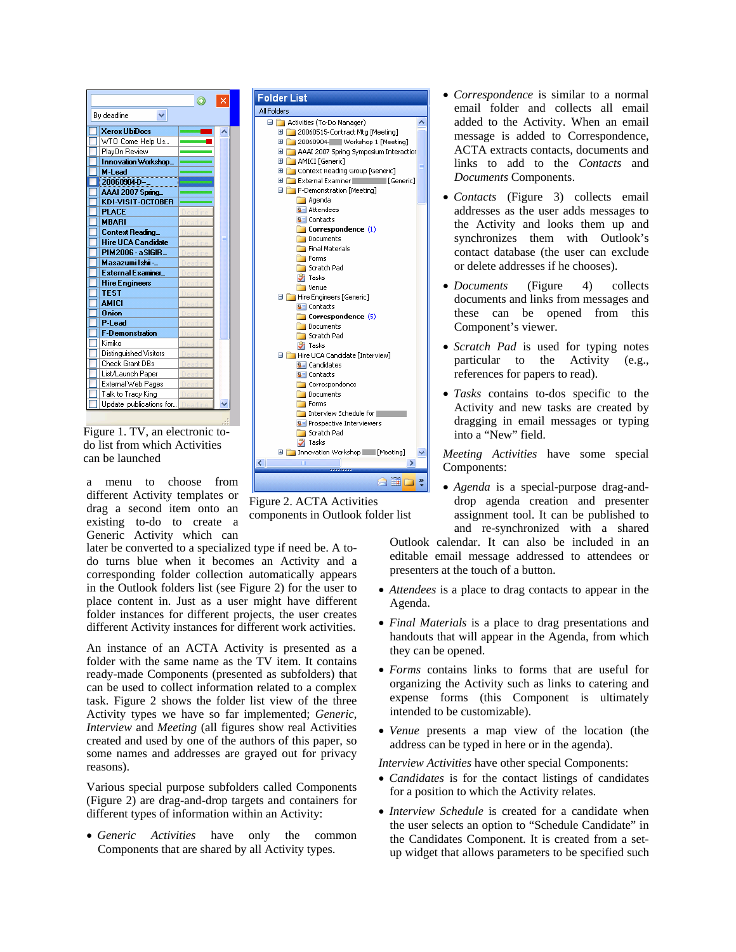| Bv deadline               |  |
|---------------------------|--|
| <b>Xerox UbDocs</b>       |  |
| WTO Come Help Us          |  |
| PlayOn Review             |  |
| Innovation Workshop_      |  |
| M-Lead                    |  |
| 20060904-D-               |  |
| AAAI 2007 Spring          |  |
| KDI-VISIT-OCTOBER         |  |
| <b>PLACE</b>              |  |
| <b>MBARI</b>              |  |
| Context Reading_          |  |
| <b>Hire UCA Candidate</b> |  |
| PIM2006 - a SIGIR_        |  |
| Masazumi Ishii -_         |  |
| External Examiner         |  |
| <b>Hire Engineers</b>     |  |
| <b>TFST</b>               |  |
| <b>AMICI</b>              |  |
| <b>Onion</b>              |  |
| P-Lead                    |  |
| F-Demonstration           |  |
| Kimiko                    |  |
| Distinguished Visitors    |  |
| Check Grant DBs           |  |
| List/Launch Paper         |  |
| External Web Pages        |  |
| Talk to Tracy King        |  |
| Update publications for   |  |

Figure 1. TV, an electronic todo list from which Activities can be launched

a menu to choose from different Activity templates or drag a second item onto an existing to-do to create a Generic Activity which can

later be converted to a specialized type if need be. A todo turns blue when it becomes an Activity and a corresponding folder collection automatically appears in the Outlook folders list (see Figure 2) for the user to place content in. Just as a user might have different folder instances for different projects, the user creates different Activity instances for different work activities.

An instance of an ACTA Activity is presented as a folder with the same name as the TV item. It contains ready-made Components (presented as subfolders) that can be used to collect information related to a complex task. Figure 2 shows the folder list view of the three Activity types we have so far implemented; *Generic*, *Interview* and *Meeting* (all figures show real Activities created and used by one of the authors of this paper, so some names and addresses are grayed out for privacy reasons).

Various special purpose subfolders called Components (Figure 2) are drag-and-drop targets and containers for different types of information within an Activity:

• *Generic Activities* have only the common Components that are shared by all Activity types.



**BED?** Figure 2. ACTA Activities

 $\overline{\mathbf{v}}$ 

components in Outlook folder list

El **El Innovation Workshop** | Meeting]

**X** Tasks

 $\epsilon$ 

All Folders

- *Correspondence* is similar to a normal email folder and collects all email added to the Activity. When an email message is added to Correspondence, ACTA extracts contacts, documents and links to add to the *Contacts* and *Documents* Components.
- *Contacts* (Figure 3) collects email addresses as the user adds messages to the Activity and looks them up and synchronizes them with Outlook's contact database (the user can exclude or delete addresses if he chooses).
- *Documents* (Figure 4) collects documents and links from messages and these can be opened from this Component's viewer.
- *Scratch Pad* is used for typing notes particular to the Activity (e.g., references for papers to read).
- *Tasks* contains to-dos specific to the Activity and new tasks are created by dragging in email messages or typing into a "New" field.

*Meeting Activities* have some special Components:

- *Agenda* is a special-purpose drag-anddrop agenda creation and presenter assignment tool. It can be published to and re-synchronized with a shared Outlook calendar. It can also be included in an editable email message addressed to attendees or presenters at the touch of a button.
- *Attendees* is a place to drag contacts to appear in the Agenda.
- *Final Materials* is a place to drag presentations and handouts that will appear in the Agenda, from which they can be opened.
- *Forms* contains links to forms that are useful for organizing the Activity such as links to catering and expense forms (this Component is ultimately intended to be customizable).
- *Venue* presents a map view of the location (the address can be typed in here or in the agenda).

*Interview Activities* have other special Components:

- *Candidates* is for the contact listings of candidates for a position to which the Activity relates.
- *Interview Schedule* is created for a candidate when the user selects an option to "Schedule Candidate" in the Candidates Component. It is created from a setup widget that allows parameters to be specified such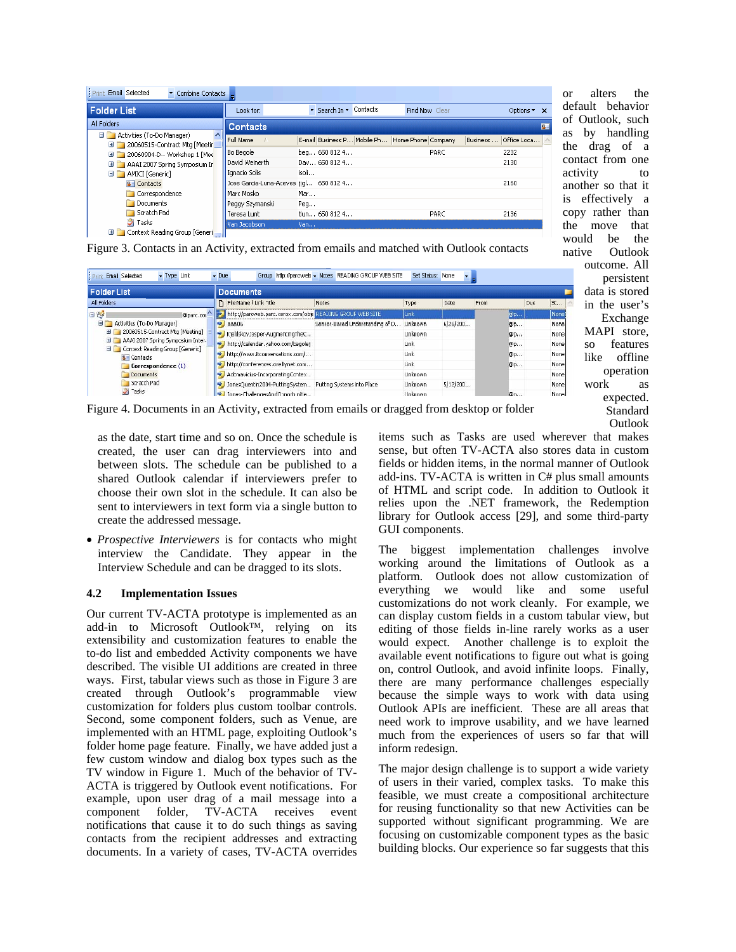| <b>Print Email Selected</b><br>Combine Contacts                 |                                        |                                                |                |                         |
|-----------------------------------------------------------------|----------------------------------------|------------------------------------------------|----------------|-------------------------|
| <b>Folder List</b>                                              | Look for:                              | ▼ Search In ▼ Contacts                         | Find Now Clear | Options <b>x</b>        |
| All Folders                                                     | <b>Contacts</b>                        |                                                |                | $\overline{\mathbf{s}}$ |
| Activities (To-Do Manager)<br>El 20060515-Contract Mtg [Meetir] | Full Name                              | E-mail Business P Mobile Ph Home Phone Company |                | Office Loca<br>Business |
| <b>El 20060904-D-- Workshop 1 [Mee</b>                          | <b>Bo Begole</b>                       | beg 650 812 4                                  | PARC           | 2232                    |
| El AAAI 2007 Spring Symposium In                                | David Weinerth                         | Dav 650 812 4                                  |                | 2130                    |
| AMICI [Generic]                                                 | Ignacio Solis                          | isoli                                          |                |                         |
| $S =$ Contacts                                                  | Jose Garcia-Luna-Aceves iigl 650 812 4 |                                                |                | 2160                    |
| Correspondence                                                  | Marc Mosko                             | Mar                                            |                |                         |
| Documents                                                       | Peggy Szymanski                        | Peq                                            |                |                         |
| Scratch Pad                                                     | Teresa Lunt I                          | tlun 650 812 4                                 | PARC           | 2136                    |
| <b>Tasks</b>                                                    | Van Jacobson                           | Van                                            |                |                         |
| Context Reading Group [Generi]<br>田口                            |                                        |                                                |                |                         |

Figure 3. Contacts in an Activity, extracted from emails and matched with Outlook contacts

| <b>Folder List</b>                                                                                                                                                                                                                              | <b>Documents</b>                                          |                                 |                |          |      |     |             |
|-------------------------------------------------------------------------------------------------------------------------------------------------------------------------------------------------------------------------------------------------|-----------------------------------------------------------|---------------------------------|----------------|----------|------|-----|-------------|
| All Folders                                                                                                                                                                                                                                     | File Name / Link "itle                                    | Notes                           | Type           | Date     | From | Due | St          |
| 日时<br>@parc.com<br>Activities (To-Do Manager)<br>El 20060515-Contract Mtg [Meeting]<br>AAAI 2007 Spring Symposium Inter-<br><b>El Context Reading Group [Generic]</b><br>8   Contacts<br>Correspondence (1)<br>Documents<br>Scratch Pad<br>asks | http://parcweb.parc.xerox.com/obj: READING GROUF WEB SITE |                                 | Link           |          | @p   |     | None        |
|                                                                                                                                                                                                                                                 | aaa06<br><b>W</b>                                         | Sensor-Based Understanding of D | Unknown        | 6/26/200 | @p   |     | None        |
|                                                                                                                                                                                                                                                 | KieldskovJesper-AugmentingTheC                            |                                 | <b>Unknown</b> |          | @p., |     | None        |
|                                                                                                                                                                                                                                                 | http://calendar.yahoo.com/begolej<br>P)                   |                                 | Link           |          | @p   |     | None        |
|                                                                                                                                                                                                                                                 | http://www.itconversations.com/                           |                                 | Link           |          | @p   |     | None        |
|                                                                                                                                                                                                                                                 | http://conferences.orellynet.com<br><b>Patro</b>          |                                 | Link           |          | @p   |     | None        |
|                                                                                                                                                                                                                                                 | Adomavicius-IncorporatingContex                           |                                 | <b>Unknown</b> |          |      |     | None        |
|                                                                                                                                                                                                                                                 | JonesQuentin2004-PuttingSystem Putting Systems into Place |                                 | <b>Unknown</b> | 5/12/200 |      |     | None        |
|                                                                                                                                                                                                                                                 | Jones-ChallengesAndOpportunitie<br>leg-                   |                                 | Linknown       |          | @n   |     | <b>None</b> |

Figure 4. Documents in an Activity, extracted from emails or dragged from desktop or folder

as the date, start time and so on. Once the schedule is created, the user can drag interviewers into and between slots. The schedule can be published to a shared Outlook calendar if interviewers prefer to choose their own slot in the schedule. It can also be sent to interviewers in text form via a single button to create the addressed message.

• *Prospective Interviewers* is for contacts who might interview the Candidate. They appear in the Interview Schedule and can be dragged to its slots.

# **4.2 Implementation Issues**

Our current TV-ACTA prototype is implemented as an add-in to Microsoft Outlook™, relying on its extensibility and customization features to enable the to-do list and embedded Activity components we have described. The visible UI additions are created in three ways. First, tabular views such as those in Figure 3 are created through Outlook's programmable view customization for folders plus custom toolbar controls. Second, some component folders, such as Venue, are implemented with an HTML page, exploiting Outlook's folder home page feature. Finally, we have added just a few custom window and dialog box types such as the TV window in Figure 1. Much of the behavior of TV-ACTA is triggered by Outlook event notifications. For example, upon user drag of a mail message into a component folder, TV-ACTA receives event notifications that cause it to do such things as saving contacts from the recipient addresses and extracting documents. In a variety of cases, TV-ACTA overrides

items such as Tasks are used wherever that makes sense, but often TV-ACTA also stores data in custom fields or hidden items, in the normal manner of Outlook add-ins. TV-ACTA is written in C# plus small amounts of HTML and script code. In addition to Outlook it relies upon the .NET framework, the Redemption library for Outlook access [29], and some third-party GUI components.

or alters the default behavior of Outlook, such as by handling the drag of a contact from one activity to another so that it is effectively a copy rather than the move that would be the native Outlook outcome. All persistent data is stored in the user's Exchange MAPI store, so features like offline operation work as expected. Standard Outlook

The biggest implementation challenges involve working around the limitations of Outlook as a platform. Outlook does not allow customization of everything we would like and some useful customizations do not work cleanly. For example, we can display custom fields in a custom tabular view, but editing of those fields in-line rarely works as a user would expect. Another challenge is to exploit the available event notifications to figure out what is going on, control Outlook, and avoid infinite loops. Finally, there are many performance challenges especially because the simple ways to work with data using Outlook APIs are inefficient. These are all areas that need work to improve usability, and we have learned much from the experiences of users so far that will inform redesign.

The major design challenge is to support a wide variety of users in their varied, complex tasks. To make this feasible, we must create a compositional architecture for reusing functionality so that new Activities can be supported without significant programming. We are focusing on customizable component types as the basic building blocks. Our experience so far suggests that this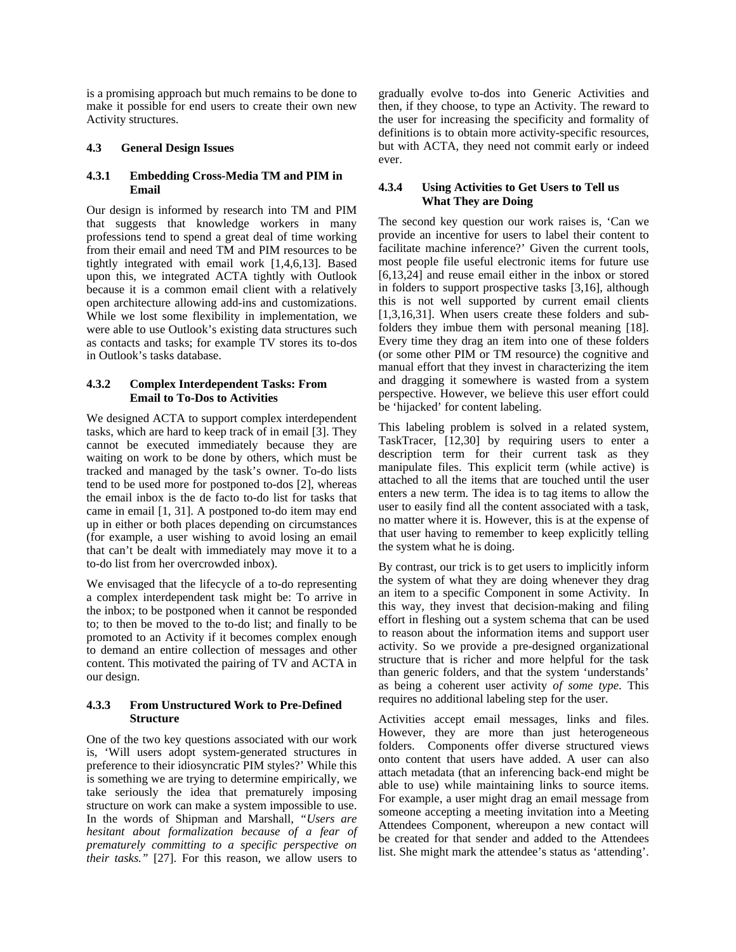is a promising approach but much remains to be done to make it possible for end users to create their own new Activity structures.

#### **4.3 General Design Issues**

### **4.3.1 Embedding Cross-Media TM and PIM in Email**

Our design is informed by research into TM and PIM that suggests that knowledge workers in many professions tend to spend a great deal of time working from their email and need TM and PIM resources to be tightly integrated with email work [1,4,6,13]. Based upon this, we integrated ACTA tightly with Outlook because it is a common email client with a relatively open architecture allowing add-ins and customizations. While we lost some flexibility in implementation, we were able to use Outlook's existing data structures such as contacts and tasks; for example TV stores its to-dos in Outlook's tasks database.

# **4.3.2 Complex Interdependent Tasks: From Email to To-Dos to Activities**

We designed ACTA to support complex interdependent tasks, which are hard to keep track of in email [3]. They cannot be executed immediately because they are waiting on work to be done by others, which must be tracked and managed by the task's owner. To-do lists tend to be used more for postponed to-dos [2], whereas the email inbox is the de facto to-do list for tasks that came in email [1, 31]. A postponed to-do item may end up in either or both places depending on circumstances (for example, a user wishing to avoid losing an email that can't be dealt with immediately may move it to a to-do list from her overcrowded inbox).

We envisaged that the lifecycle of a to-do representing a complex interdependent task might be: To arrive in the inbox; to be postponed when it cannot be responded to; to then be moved to the to-do list; and finally to be promoted to an Activity if it becomes complex enough to demand an entire collection of messages and other content. This motivated the pairing of TV and ACTA in our design.

# **4.3.3 From Unstructured Work to Pre-Defined Structure**

One of the two key questions associated with our work is, 'Will users adopt system-generated structures in preference to their idiosyncratic PIM styles?' While this is something we are trying to determine empirically, we take seriously the idea that prematurely imposing structure on work can make a system impossible to use. In the words of Shipman and Marshall, *"Users are hesitant about formalization because of a fear of prematurely committing to a specific perspective on their tasks."* [27]. For this reason, we allow users to

gradually evolve to-dos into Generic Activities and then, if they choose, to type an Activity. The reward to the user for increasing the specificity and formality of definitions is to obtain more activity-specific resources, but with ACTA, they need not commit early or indeed ever.

# **4.3.4 Using Activities to Get Users to Tell us What They are Doing**

The second key question our work raises is, 'Can we provide an incentive for users to label their content to facilitate machine inference?' Given the current tools, most people file useful electronic items for future use [6,13,24] and reuse email either in the inbox or stored in folders to support prospective tasks [3,16], although this is not well supported by current email clients [1,3,16,31]. When users create these folders and subfolders they imbue them with personal meaning [18]. Every time they drag an item into one of these folders (or some other PIM or TM resource) the cognitive and manual effort that they invest in characterizing the item and dragging it somewhere is wasted from a system perspective. However, we believe this user effort could be 'hijacked' for content labeling.

This labeling problem is solved in a related system, TaskTracer, [12,30] by requiring users to enter a description term for their current task as they manipulate files. This explicit term (while active) is attached to all the items that are touched until the user enters a new term. The idea is to tag items to allow the user to easily find all the content associated with a task, no matter where it is. However, this is at the expense of that user having to remember to keep explicitly telling the system what he is doing.

By contrast, our trick is to get users to implicitly inform the system of what they are doing whenever they drag an item to a specific Component in some Activity. In this way, they invest that decision-making and filing effort in fleshing out a system schema that can be used to reason about the information items and support user activity. So we provide a pre-designed organizational structure that is richer and more helpful for the task than generic folders, and that the system 'understands' as being a coherent user activity *of some type*. This requires no additional labeling step for the user.

Activities accept email messages, links and files. However, they are more than just heterogeneous folders. Components offer diverse structured views onto content that users have added. A user can also attach metadata (that an inferencing back-end might be able to use) while maintaining links to source items. For example, a user might drag an email message from someone accepting a meeting invitation into a Meeting Attendees Component, whereupon a new contact will be created for that sender and added to the Attendees list. She might mark the attendee's status as 'attending'.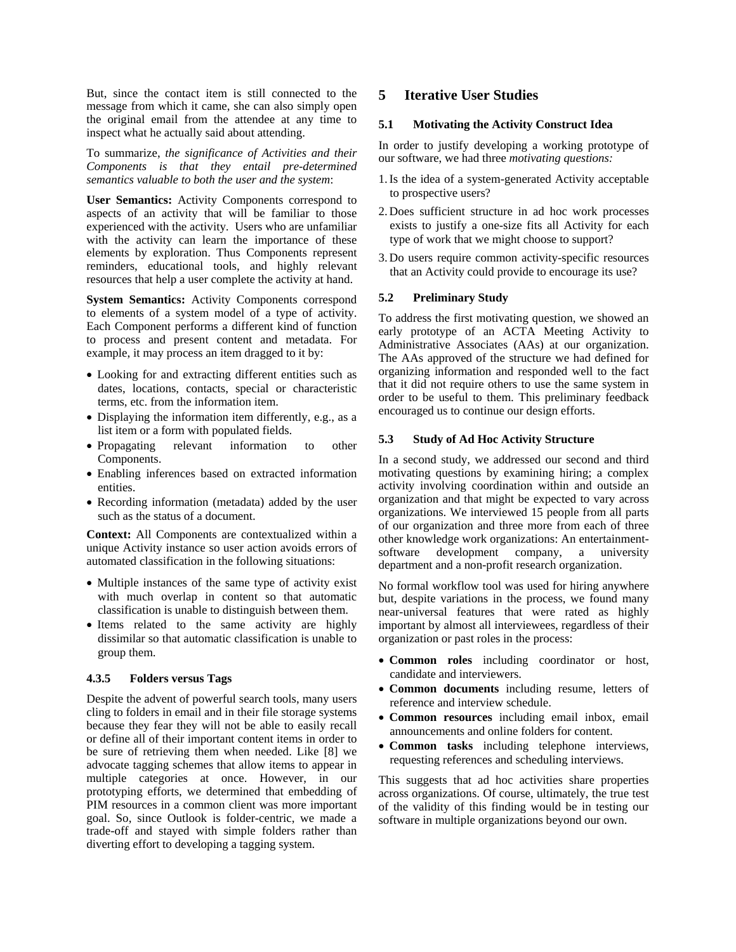But, since the contact item is still connected to the message from which it came, she can also simply open the original email from the attendee at any time to inspect what he actually said about attending.

To summarize, *the significance of Activities and their Components is that they entail pre-determined semantics valuable to both the user and the system*:

**User Semantics:** Activity Components correspond to aspects of an activity that will be familiar to those experienced with the activity. Users who are unfamiliar with the activity can learn the importance of these elements by exploration. Thus Components represent reminders, educational tools, and highly relevant resources that help a user complete the activity at hand.

**System Semantics:** Activity Components correspond to elements of a system model of a type of activity. Each Component performs a different kind of function to process and present content and metadata. For example, it may process an item dragged to it by:

- Looking for and extracting different entities such as dates, locations, contacts, special or characteristic terms, etc. from the information item.
- Displaying the information item differently, e.g., as a list item or a form with populated fields.
- Propagating relevant information to other Components.
- Enabling inferences based on extracted information entities.
- Recording information (metadata) added by the user such as the status of a document.

**Context:** All Components are contextualized within a unique Activity instance so user action avoids errors of automated classification in the following situations:

- Multiple instances of the same type of activity exist with much overlap in content so that automatic classification is unable to distinguish between them.
- Items related to the same activity are highly dissimilar so that automatic classification is unable to group them.

#### **4.3.5 Folders versus Tags**

Despite the advent of powerful search tools, many users cling to folders in email and in their file storage systems because they fear they will not be able to easily recall or define all of their important content items in order to be sure of retrieving them when needed. Like [8] we advocate tagging schemes that allow items to appear in multiple categories at once. However, in our prototyping efforts, we determined that embedding of PIM resources in a common client was more important goal. So, since Outlook is folder-centric, we made a trade-off and stayed with simple folders rather than diverting effort to developing a tagging system.

# **5 Iterative User Studies**

#### **5.1 Motivating the Activity Construct Idea**

In order to justify developing a working prototype of our software, we had three *motivating questions:*

- 1.Is the idea of a system-generated Activity acceptable to prospective users?
- 2. Does sufficient structure in ad hoc work processes exists to justify a one-size fits all Activity for each type of work that we might choose to support?
- 3. Do users require common activity-specific resources that an Activity could provide to encourage its use?

#### **5.2 Preliminary Study**

To address the first motivating question, we showed an early prototype of an ACTA Meeting Activity to Administrative Associates (AAs) at our organization. The AAs approved of the structure we had defined for organizing information and responded well to the fact that it did not require others to use the same system in order to be useful to them. This preliminary feedback encouraged us to continue our design efforts.

#### **5.3 Study of Ad Hoc Activity Structure**

In a second study, we addressed our second and third motivating questions by examining hiring; a complex activity involving coordination within and outside an organization and that might be expected to vary across organizations. We interviewed 15 people from all parts of our organization and three more from each of three other knowledge work organizations: An entertainmentsoftware development company, a university department and a non-profit research organization.

No formal workflow tool was used for hiring anywhere but, despite variations in the process, we found many near-universal features that were rated as highly important by almost all interviewees, regardless of their organization or past roles in the process:

- **Common roles** including coordinator or host, candidate and interviewers.
- **Common documents** including resume, letters of reference and interview schedule.
- **Common resources** including email inbox, email announcements and online folders for content.
- **Common tasks** including telephone interviews, requesting references and scheduling interviews.

This suggests that ad hoc activities share properties across organizations. Of course, ultimately, the true test of the validity of this finding would be in testing our software in multiple organizations beyond our own.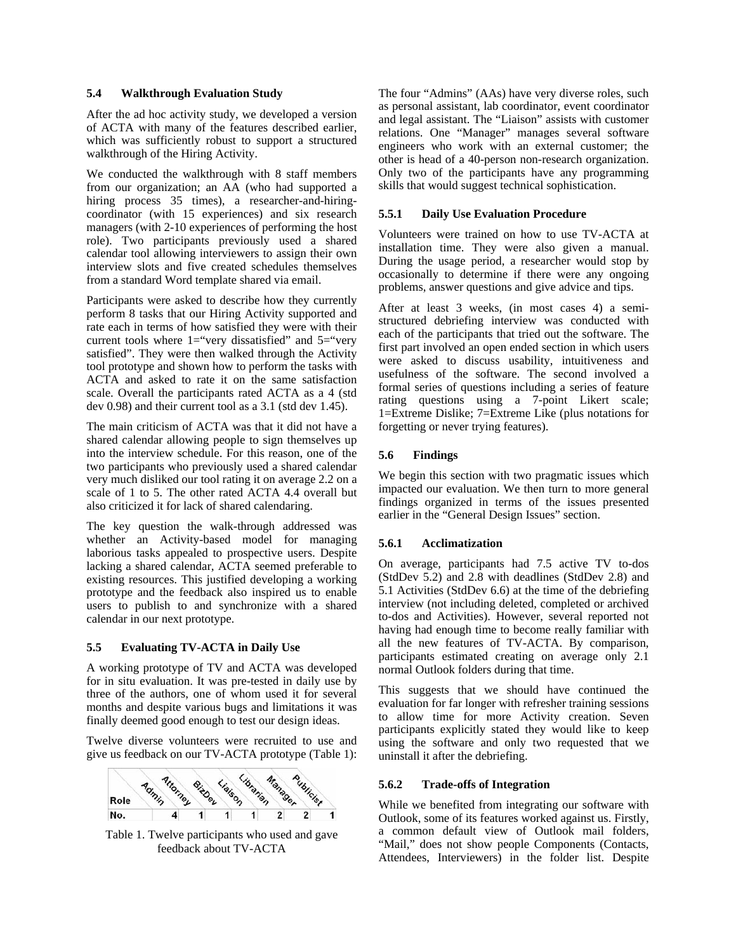#### **5.4 Walkthrough Evaluation Study**

After the ad hoc activity study, we developed a version of ACTA with many of the features described earlier, which was sufficiently robust to support a structured walkthrough of the Hiring Activity.

We conducted the walkthrough with 8 staff members from our organization; an AA (who had supported a hiring process 35 times), a researcher-and-hiringcoordinator (with 15 experiences) and six research managers (with 2-10 experiences of performing the host role). Two participants previously used a shared calendar tool allowing interviewers to assign their own interview slots and five created schedules themselves from a standard Word template shared via email.

Participants were asked to describe how they currently perform 8 tasks that our Hiring Activity supported and rate each in terms of how satisfied they were with their current tools where  $1 =$ "very dissatisfied" and  $5 =$ "very satisfied". They were then walked through the Activity tool prototype and shown how to perform the tasks with ACTA and asked to rate it on the same satisfaction scale. Overall the participants rated ACTA as a 4 (std dev 0.98) and their current tool as a 3.1 (std dev 1.45).

The main criticism of ACTA was that it did not have a shared calendar allowing people to sign themselves up into the interview schedule. For this reason, one of the two participants who previously used a shared calendar very much disliked our tool rating it on average 2.2 on a scale of 1 to 5. The other rated ACTA 4.4 overall but also criticized it for lack of shared calendaring.

The key question the walk-through addressed was whether an Activity-based model for managing laborious tasks appealed to prospective users. Despite lacking a shared calendar, ACTA seemed preferable to existing resources. This justified developing a working prototype and the feedback also inspired us to enable users to publish to and synchronize with a shared calendar in our next prototype.

#### **5.5 Evaluating TV-ACTA in Daily Use**

A working prototype of TV and ACTA was developed for in situ evaluation. It was pre-tested in daily use by three of the authors, one of whom used it for several months and despite various bugs and limitations it was finally deemed good enough to test our design ideas.

Twelve diverse volunteers were recruited to use and give us feedback on our TV-ACTA prototype (Table 1):



Table 1. Twelve participants who used and gave feedback about TV-ACTA

The four "Admins" (AAs) have very diverse roles, such as personal assistant, lab coordinator, event coordinator and legal assistant. The "Liaison" assists with customer relations. One "Manager" manages several software engineers who work with an external customer; the other is head of a 40-person non-research organization. Only two of the participants have any programming skills that would suggest technical sophistication.

#### **5.5.1 Daily Use Evaluation Procedure**

Volunteers were trained on how to use TV-ACTA at installation time. They were also given a manual. During the usage period, a researcher would stop by occasionally to determine if there were any ongoing problems, answer questions and give advice and tips.

After at least 3 weeks, (in most cases 4) a semistructured debriefing interview was conducted with each of the participants that tried out the software. The first part involved an open ended section in which users were asked to discuss usability, intuitiveness and usefulness of the software. The second involved a formal series of questions including a series of feature rating questions using a 7-point Likert scale; 1=Extreme Dislike; 7=Extreme Like (plus notations for forgetting or never trying features).

#### **5.6 Findings**

We begin this section with two pragmatic issues which impacted our evaluation. We then turn to more general findings organized in terms of the issues presented earlier in the "General Design Issues" section.

#### **5.6.1 Acclimatization**

On average, participants had 7.5 active TV to-dos (StdDev 5.2) and 2.8 with deadlines (StdDev 2.8) and 5.1 Activities (StdDev 6.6) at the time of the debriefing interview (not including deleted, completed or archived to-dos and Activities). However, several reported not having had enough time to become really familiar with all the new features of TV-ACTA. By comparison, participants estimated creating on average only 2.1 normal Outlook folders during that time.

This suggests that we should have continued the evaluation for far longer with refresher training sessions to allow time for more Activity creation. Seven participants explicitly stated they would like to keep using the software and only two requested that we uninstall it after the debriefing.

#### **5.6.2 Trade-offs of Integration**

While we benefited from integrating our software with Outlook, some of its features worked against us. Firstly, a common default view of Outlook mail folders, "Mail," does not show people Components (Contacts, Attendees, Interviewers) in the folder list. Despite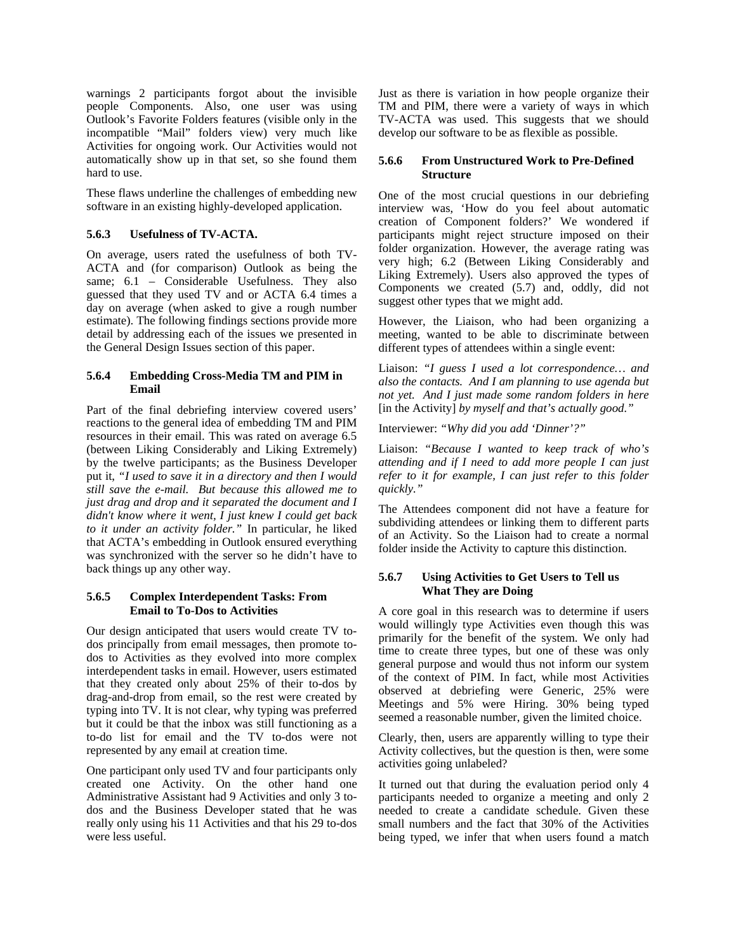warnings 2 participants forgot about the invisible people Components. Also, one user was using Outlook's Favorite Folders features (visible only in the incompatible "Mail" folders view) very much like Activities for ongoing work. Our Activities would not automatically show up in that set, so she found them hard to use.

These flaws underline the challenges of embedding new software in an existing highly-developed application.

# **5.6.3 Usefulness of TV-ACTA.**

On average, users rated the usefulness of both TV-ACTA and (for comparison) Outlook as being the same;  $6.1$  – Considerable Usefulness. They also guessed that they used TV and or ACTA 6.4 times a day on average (when asked to give a rough number estimate). The following findings sections provide more detail by addressing each of the issues we presented in the General Design Issues section of this paper.

#### **5.6.4 Embedding Cross-Media TM and PIM in Email**

Part of the final debriefing interview covered users' reactions to the general idea of embedding TM and PIM resources in their email. This was rated on average 6.5 (between Liking Considerably and Liking Extremely) by the twelve participants; as the Business Developer put it, *"I used to save it in a directory and then I would still save the e-mail. But because this allowed me to just drag and drop and it separated the document and I didn't know where it went, I just knew I could get back to it under an activity folder."* In particular, he liked that ACTA's embedding in Outlook ensured everything was synchronized with the server so he didn't have to back things up any other way.

#### **5.6.5 Complex Interdependent Tasks: From Email to To-Dos to Activities**

Our design anticipated that users would create TV todos principally from email messages, then promote todos to Activities as they evolved into more complex interdependent tasks in email. However, users estimated that they created only about 25% of their to-dos by drag-and-drop from email, so the rest were created by typing into TV. It is not clear, why typing was preferred but it could be that the inbox was still functioning as a to-do list for email and the TV to-dos were not represented by any email at creation time.

One participant only used TV and four participants only created one Activity. On the other hand one Administrative Assistant had 9 Activities and only 3 todos and the Business Developer stated that he was really only using his 11 Activities and that his 29 to-dos were less useful.

Just as there is variation in how people organize their TM and PIM, there were a variety of ways in which TV-ACTA was used. This suggests that we should develop our software to be as flexible as possible.

#### **5.6.6 From Unstructured Work to Pre-Defined Structure**

One of the most crucial questions in our debriefing interview was, 'How do you feel about automatic creation of Component folders?' We wondered if participants might reject structure imposed on their folder organization. However, the average rating was very high; 6.2 (Between Liking Considerably and Liking Extremely). Users also approved the types of Components we created (5.7) and, oddly, did not suggest other types that we might add.

However, the Liaison, who had been organizing a meeting, wanted to be able to discriminate between different types of attendees within a single event:

Liaison: *"I guess I used a lot correspondence… and also the contacts. And I am planning to use agenda but not yet. And I just made some random folders in here*  [in the Activity] *by myself and that's actually good."* 

Interviewer: *"Why did you add 'Dinner'?"* 

Liaison: *"Because I wanted to keep track of who's attending and if I need to add more people I can just refer to it for example, I can just refer to this folder quickly."* 

The Attendees component did not have a feature for subdividing attendees or linking them to different parts of an Activity. So the Liaison had to create a normal folder inside the Activity to capture this distinction.

# **5.6.7 Using Activities to Get Users to Tell us What They are Doing**

A core goal in this research was to determine if users would willingly type Activities even though this was primarily for the benefit of the system. We only had time to create three types, but one of these was only general purpose and would thus not inform our system of the context of PIM. In fact, while most Activities observed at debriefing were Generic, 25% were Meetings and 5% were Hiring. 30% being typed seemed a reasonable number, given the limited choice.

Clearly, then, users are apparently willing to type their Activity collectives, but the question is then, were some activities going unlabeled?

It turned out that during the evaluation period only 4 participants needed to organize a meeting and only 2 needed to create a candidate schedule. Given these small numbers and the fact that 30% of the Activities being typed, we infer that when users found a match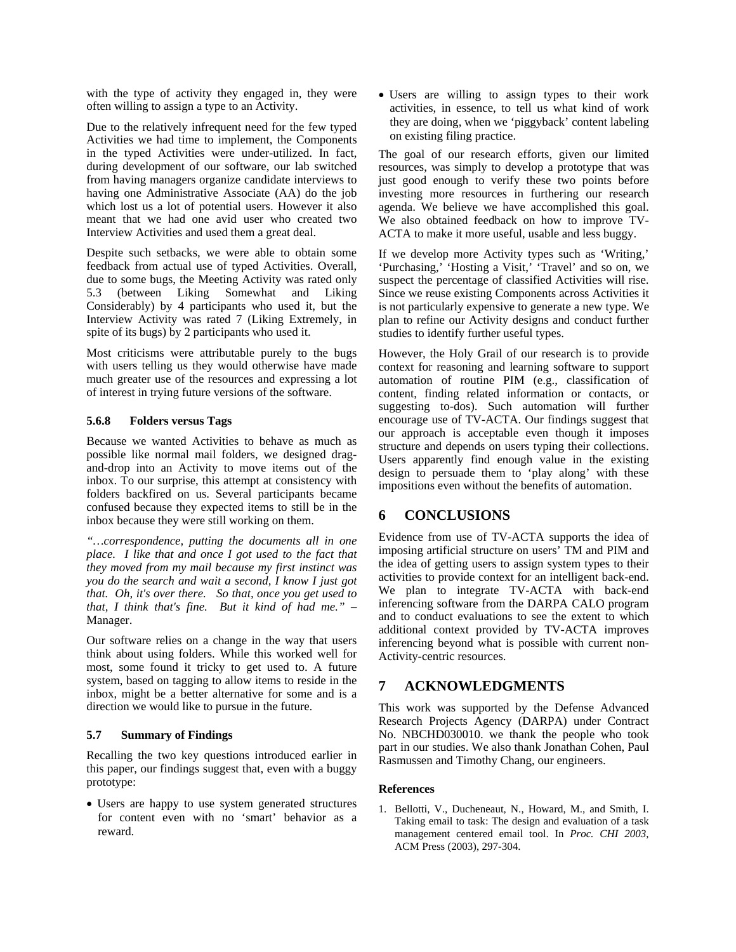with the type of activity they engaged in, they were often willing to assign a type to an Activity.

Due to the relatively infrequent need for the few typed Activities we had time to implement, the Components in the typed Activities were under-utilized. In fact, during development of our software, our lab switched from having managers organize candidate interviews to having one Administrative Associate (AA) do the job which lost us a lot of potential users. However it also meant that we had one avid user who created two Interview Activities and used them a great deal.

Despite such setbacks, we were able to obtain some feedback from actual use of typed Activities. Overall, due to some bugs, the Meeting Activity was rated only 5.3 (between Liking Somewhat and Liking Considerably) by 4 participants who used it, but the Interview Activity was rated 7 (Liking Extremely, in spite of its bugs) by 2 participants who used it.

Most criticisms were attributable purely to the bugs with users telling us they would otherwise have made much greater use of the resources and expressing a lot of interest in trying future versions of the software.

#### **5.6.8 Folders versus Tags**

Because we wanted Activities to behave as much as possible like normal mail folders, we designed dragand-drop into an Activity to move items out of the inbox. To our surprise, this attempt at consistency with folders backfired on us. Several participants became confused because they expected items to still be in the inbox because they were still working on them.

*"…correspondence, putting the documents all in one place. I like that and once I got used to the fact that they moved from my mail because my first instinct was you do the search and wait a second, I know I just got that. Oh, it's over there. So that, once you get used to that, I think that's fine. But it kind of had me."* – Manager.

Our software relies on a change in the way that users think about using folders. While this worked well for most, some found it tricky to get used to. A future system, based on tagging to allow items to reside in the inbox, might be a better alternative for some and is a direction we would like to pursue in the future.

#### **5.7 Summary of Findings**

Recalling the two key questions introduced earlier in this paper, our findings suggest that, even with a buggy prototype:

• Users are happy to use system generated structures for content even with no 'smart' behavior as a reward.

• Users are willing to assign types to their work activities, in essence, to tell us what kind of work they are doing, when we 'piggyback' content labeling on existing filing practice.

The goal of our research efforts, given our limited resources, was simply to develop a prototype that was just good enough to verify these two points before investing more resources in furthering our research agenda. We believe we have accomplished this goal. We also obtained feedback on how to improve TV-ACTA to make it more useful, usable and less buggy.

If we develop more Activity types such as 'Writing,' 'Purchasing,' 'Hosting a Visit,' 'Travel' and so on, we suspect the percentage of classified Activities will rise. Since we reuse existing Components across Activities it is not particularly expensive to generate a new type. We plan to refine our Activity designs and conduct further studies to identify further useful types.

However, the Holy Grail of our research is to provide context for reasoning and learning software to support automation of routine PIM (e.g., classification of content, finding related information or contacts, or suggesting to-dos). Such automation will further encourage use of TV-ACTA. Our findings suggest that our approach is acceptable even though it imposes structure and depends on users typing their collections. Users apparently find enough value in the existing design to persuade them to 'play along' with these impositions even without the benefits of automation.

# **6 CONCLUSIONS**

Evidence from use of TV-ACTA supports the idea of imposing artificial structure on users' TM and PIM and the idea of getting users to assign system types to their activities to provide context for an intelligent back-end. We plan to integrate TV-ACTA with back-end inferencing software from the DARPA CALO program and to conduct evaluations to see the extent to which additional context provided by TV-ACTA improves inferencing beyond what is possible with current non-Activity-centric resources.

# **7 ACKNOWLEDGMENTS**

This work was supported by the Defense Advanced Research Projects Agency (DARPA) under Contract No. NBCHD030010. we thank the people who took part in our studies. We also thank Jonathan Cohen, Paul Rasmussen and Timothy Chang, our engineers.

# **References**

1. Bellotti, V., Ducheneaut, N., Howard, M., and Smith, I. Taking email to task: The design and evaluation of a task management centered email tool. In *Proc. CHI 2003*, ACM Press (2003), 297-304.